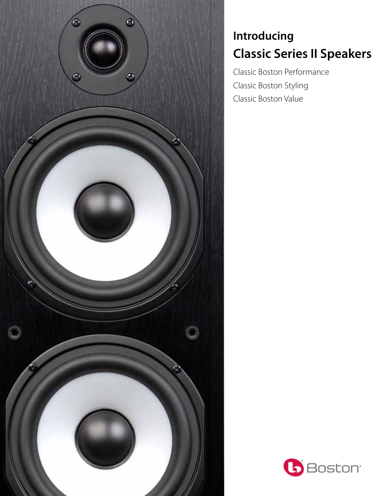

## **Introducing Classic Series II Speakers**

Classic Boston Performance Classic Boston Styling Classic Boston Value

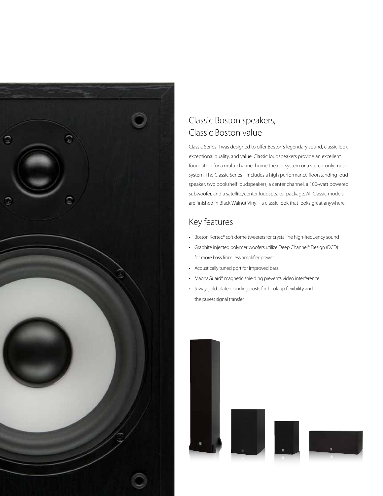

### Classic Boston speakers, Classic Boston value

Classic Series II was designed to offer Boston's legendary sound, classic look, exceptional quality, and value. Classic loudspeakers provide an excellent foundation for a multi-channel home theater system or a stereo-only music system. The Classic Series II includes a high performance floorstanding loudspeaker, two bookshelf loudspeakers, a center channel, a 100-watt powered subwoofer, and a satellite/center loudspeaker package. All Classic models are finished in Black Walnut Vinyl - a classic look that looks great anywhere.

### Key features

- Boston Kortec® soft dome tweeters for crystalline high-frequency sound
- • Graphite injected polymer woofers utilize Deep Channel® Design (DCD) for more bass from less amplifier power
- • Acoustically tuned port for improved bass
- MagnaGuard® magnetic shielding prevents video interference
- 5-way gold-plated binding posts for hook-up flexibility and the purest signal transfer

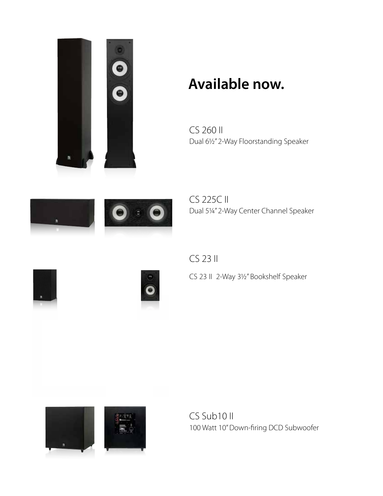

# **Available now.**

CS 260 II Dual 61/2" 2-Way Floorstanding Speaker



CS 225C II Dual 51/4" 2-Way Center Channel Speaker

CS 23 II





CS 23 II 2-Way 31/2" Bookshelf Speaker



CS Sub10 II 100 Watt 10" Down-firing DCD Subwoofer